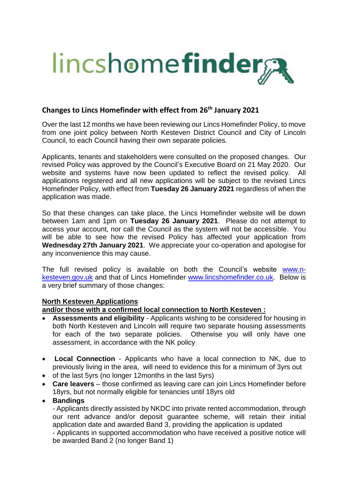

# **Changes to Lincs Homefinder with effect from 26th January 2021**

Over the last 12 months we have been reviewing our Lincs Homefinder Policy, to move from one joint policy between North Kesteven District Council and City of Lincoln Council, to each Council having their own separate policies.

Applicants, tenants and stakeholders were consulted on the proposed changes. Our revised Policy was approved by the Council's Executive Board on 21 May 2020. Our website and systems have now been updated to reflect the revised policy. All applications registered and all new applications will be subject to the revised Lincs Homefinder Policy, with effect from **Tuesday 26 January 2021** regardless of when the application was made.

So that these changes can take place, the Lincs Homefinder website will be down between 1am and 1pm on **Tuesday 26 January 2021**. Please do not attempt to access your account, nor call the Council as the system will not be accessible. You will be able to see how the revised Policy has affected your application from **Wednesday 27th January 2021**. We appreciate your co-operation and apologise for any inconvenience this may cause.

The full revised policy is available on both the Council's website [www.n](http://www.n-kesteven.gov.uk/)[kesteven.gov.uk](http://www.n-kesteven.gov.uk/) and that of Lincs Homefinder [www.lincshomefinder.co.uk.](http://www.lincshomefinder.co.uk/) Below is a very brief summary of those changes:

#### **North Kesteven Applications**

**and/or those with a confirmed local connection to North Kesteven :**

- **Assessments and eligibility** Applicants wishing to be considered for housing in both North Kesteven and Lincoln will require two separate housing assessments for each of the two separate policies. Otherwise you will only have one assessment, in accordance with the NK policy
- **Local Connection** Applicants who have a local connection to NK, due to previously living in the area, will need to evidence this for a minimum of 3yrs out
- of the last 5yrs (no longer 12months in the last 5yrs)
- **Care leavers** those confirmed as leaving care can join Lincs Homefinder before 18yrs, but not normally eligible for tenancies until 18yrs old
- **Bandings**

- Applicants directly assisted by NKDC into private rented accommodation, through our rent advance and/or deposit guarantee scheme, will retain their initial application date and awarded Band 3, providing the application is updated

- Applicants in supported accommodation who have received a positive notice will be awarded Band 2 (no longer Band 1)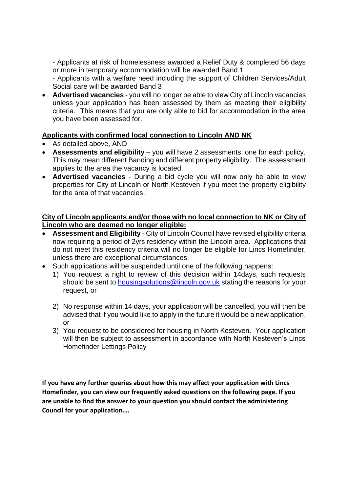- Applicants at risk of homelessness awarded a Relief Duty & completed 56 days or more in temporary accommodation will be awarded Band 1

- Applicants with a welfare need including the support of Children Services/Adult Social care will be awarded Band 3

 **Advertised vacancies** - you will no longer be able to view City of Lincoln vacancies unless your application has been assessed by them as meeting their eligibility criteria. This means that you are only able to bid for accommodation in the area you have been assessed for.

#### **Applicants with confirmed local connection to Lincoln AND NK**

- As detailed above, AND
- **Assessments and eligibility** you will have 2 assessments, one for each policy. This may mean different Banding and different property eligibility. The assessment applies to the area the vacancy is located.
- **Advertised vacancies** During a bid cycle you will now only be able to view properties for City of Lincoln or North Kesteven if you meet the property eligibility for the area of that vacancies.

#### **City of Lincoln applicants and/or those with no local connection to NK or City of Lincoln who are deemed no longer eligible:**

- **Assessment and Eligibility** City of Lincoln Council have revised eligibility criteria now requiring a period of 2yrs residency within the Lincoln area. Applications that do not meet this residency criteria will no longer be eligible for Lincs Homefinder, unless there are exceptional circumstances.
- Such applications will be suspended until one of the following happens:
	- 1) You request a right to review of this decision within 14days, such requests should be sent to [housingsolutions@lincoln.gov.uk](mailto:housingsolutions@lincoln.gov.uk) stating the reasons for your request, or
	- 2) No response within 14 days, your application will be cancelled, you will then be advised that if you would like to apply in the future it would be a new application, or
	- 3) You request to be considered for housing in North Kesteven. Your application will then be subject to assessment in accordance with North Kesteven's Lincs Homefinder Lettings Policy

**If you have any further queries about how this may affect your application with Lincs Homefinder, you can view our frequently asked questions on the following page. If you are unable to find the answer to your question you should contact the administering Council for your application….**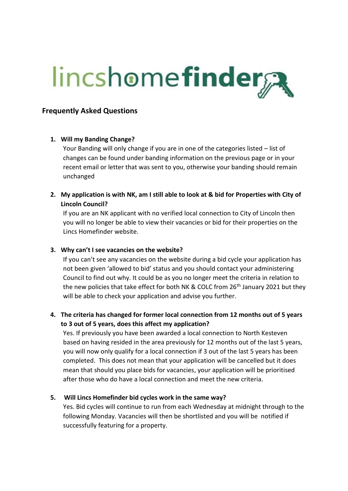# **lincshomefinder**

# **Frequently Asked Questions**

#### **1. Will my Banding Change?**

Your Banding will only change if you are in one of the categories listed – list of changes can be found under banding information on the previous page or in your recent email or letter that was sent to you, otherwise your banding should remain unchanged

**2. My application is with NK, am I still able to look at & bid for Properties with City of Lincoln Council?**

If you are an NK applicant with no verified local connection to City of Lincoln then you will no longer be able to view their vacancies or bid for their properties on the Lincs Homefinder website.

#### **3. Why can't I see vacancies on the website?**

If you can't see any vacancies on the website during a bid cycle your application has not been given 'allowed to bid' status and you should contact your administering Council to find out why. It could be as you no longer meet the criteria in relation to the new policies that take effect for both NK & COLC from 26<sup>th</sup> January 2021 but they will be able to check your application and advise you further.

# **4. The criteria has changed for former local connection from 12 months out of 5 years to 3 out of 5 years, does this affect my application?**

Yes. If previously you have been awarded a local connection to North Kesteven based on having resided in the area previously for 12 months out of the last 5 years, you will now only qualify for a local connection if 3 out of the last 5 years has been completed. This does not mean that your application will be cancelled but it does mean that should you place bids for vacancies, your application will be prioritised after those who do have a local connection and meet the new criteria.

### **5. Will Lincs Homefinder bid cycles work in the same way?**

Yes. Bid cycles will continue to run from each Wednesday at midnight through to the following Monday. Vacancies will then be shortlisted and you will be notified if successfully featuring for a property.